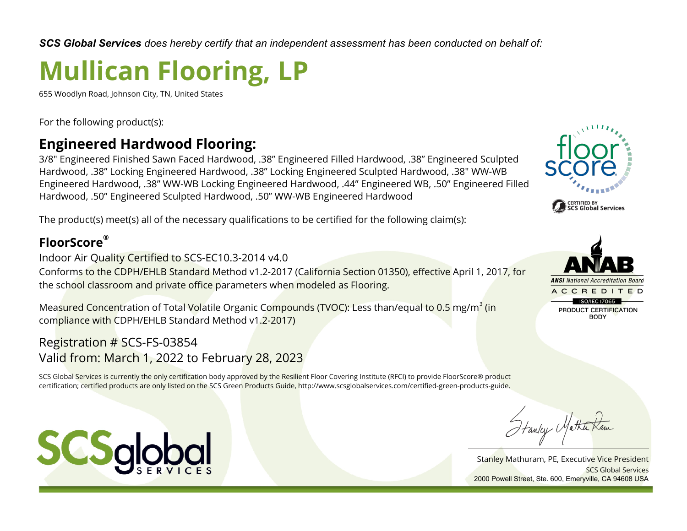*SCS Global Services does hereby certify that an independent assessment has been conducted on behalf of:*

## **Mullican Flooring, LP**

655 Woodlyn Road, Johnson City, TN, United States

For the following product(s):

## **Engineered Hardwood Flooring:**

3/8" Engineered Finished Sawn Faced Hardwood, .38" Engineered Filled Hardwood, .38" Engineered Sculpted Hardwood, .38" Locking Engineered Hardwood, .38" Locking Engineered Sculpted Hardwood, .38" WW-WB Engineered Hardwood, .38" WW-WB Locking Engineered Hardwood, .44" Engineered WB, .50" Engineered Filled Hardwood, .50" Engineered Sculpted Hardwood, .50" WW-WB Engineered Hardwood

The product(s) meet(s) all of the necessary qualifications to be certified for the following claim(s):

## **FloorScore®**

Indoor Air Quality Certified to SCS-EC10.3-2014 v4.0

Conforms to the CDPH/EHLB Standard Method v1.2-2017 (California Section 01350), effective April 1, 2017, for the school classroom and private office parameters when modeled as Flooring.

Mea<mark>sured Concen</mark>tration of Total <mark>Vol</mark>atile Organic Co<mark>mpounds (TVOC):</mark> Less than/equal to 0.5 mg/m<sup>3</sup> (in compliance with CDPH/EHLB Standard Method v1.2-2017)

Registration # SCS-FS-03854 Valid from: March 1, 2022 to February 28, 2023

SCS Global Services is currently the only certification body approved by the Resilient Floor Covering Institute (RFCI) to provide FloorScore® product certification; certified products are only listed on the SCS Green Products Guide, http://www.scsglobalservices.com/certified-green-products-guide.







Hanley Matha,

Stanley Mathuram, PE, Executive Vice President SCS Global Services 2000 Powell Street, Ste. 600, Emeryville, CA 94608 USA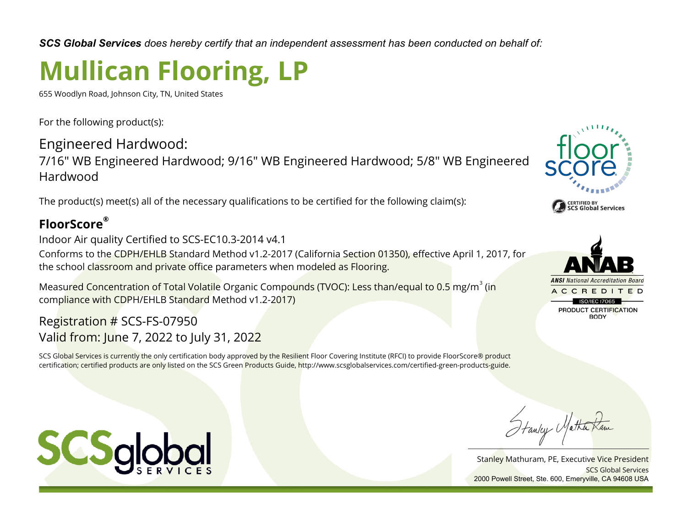*SCS Global Services does hereby certify that an independent assessment has been conducted on behalf of:*

# **Mullican Flooring, LP**

655 Woodlyn Road, Johnson City, TN, United States

For the following product(s):

Engineered Hardwood: 7/16" WB Engineered Hardwood; 9/16" WB Engineered Hardwood; 5/8" WB Engineered Hardwood

The product(s) meet(s) all of the necessary qualifications to be certified for the following claim(s):

### **FloorScore®**

Indoor Air quality Certified to SCS-EC10.3-2014 v4.1

Conforms to the CDPH/EHLB Standard Method v1.2-2017 (California Section 01350), effective April 1, 2017, for the school classroom and private office parameters when modeled as Flooring.

Measured Concentration of Total Volatile Organic Compounds (TVOC): Less than/equal to 0.5 mg/m $^3$  (in compliance with CDPH/EHLB Standard Method v1.2-2017)

#### Registration # SCS-FS-07950 Valid from: June 7, 2022 to July 31, 2022

SCS Global Services is currently the only certification body approved by the Resilient Floor Covering Institute (RFCI) to provide FloorScore® product certification; certified products are only listed on the SCS Green Products Guide, http://www.scsglobalservices.com/certified-green-products-guide.





Stanley Matha

Stanley Mathuram, PE, Executive Vice President SCS Global Services 2000 Powell Street, Ste. 600, Emeryville, CA 94608 USA